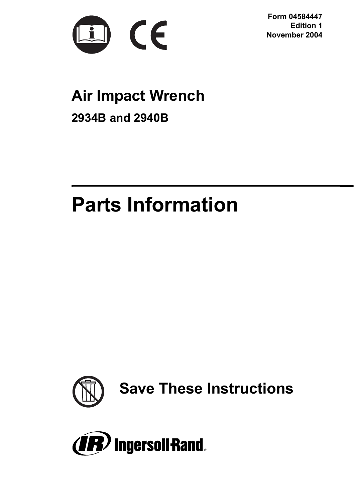

**Form 04584447 Edition 1 November 2004**

# **Air Impact Wrench**

**2934B and 2940B**

# **Parts Information**



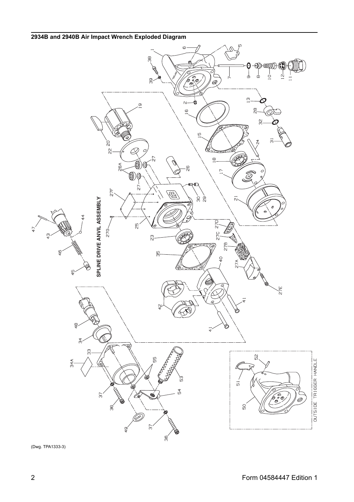

(Dwg. TPA1333-3)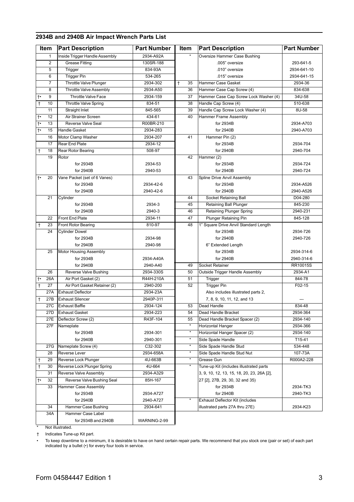|           | Item            | <b>Part Description</b>        | Part Number  | Item             | <b>Part Description</b>                    | Part Number |
|-----------|-----------------|--------------------------------|--------------|------------------|--------------------------------------------|-------------|
|           | 1               | Inside Trigger Handle Assembly | 2934-A92A    |                  | Oversize Hammer Case Bushing               |             |
|           | $\overline{2}$  | <b>Grease Fitting</b>          | 130SR-188    |                  | .005" oversize                             | 293-641-5   |
|           | 5               | Trigger                        | 834-93A      |                  | .010" oversize                             | 2934-641-10 |
|           | 6               | <b>Trigger Pin</b>             | 534-265      |                  | .015" oversize                             | 2934-641-15 |
|           | 7               | Throttle Valve Plunger         | 2934-302     | 35<br>$\ddagger$ | Hammer Case Gasket                         | 2934-36     |
|           | 8               | <b>Throttle Valve Assembly</b> | 2934-A50     | 36               | Hammer Case Cap Screw (4)                  | 834-638     |
| t٠        | 9               | Throttle Valve Face            | 2934-159     | 37               | Hammer Case Cap Screw Lock Washer (4)      | 34U-58      |
| Ŧ         | 10              | Throttle Valve Spring          | 834-51       | 38               | Handle Cap Screw (4)                       | 510-638     |
|           | 11              | Straight Inlet                 | 845-565      | 39               | Handle Cap Screw Lock Washer (4)           | 8U-58       |
| $\dagger$ | 12              | Air Strainer Screen            | 434-61       | 40               | Hammer Frame Assembly                      |             |
| ţ.        | 13              | Reverse Valve Seal             | R00BR-210    |                  | for 2934B                                  | 2934-A703   |
| t٠        | 15              | <b>Handle Gasket</b>           | 2934-283     |                  | for 2940B                                  | 2940-A703   |
|           | 16              | Motor Clamp Washer             | 2934-207     | 41               | Hammer Pin (2)                             |             |
|           | 17              | Rear End Plate                 | 2934-12      |                  | for 2934B                                  | 2934-704    |
| t         | 18              | Rear Rotor Bearing             | 508-97       |                  | for 2940B                                  | 2940-704    |
|           | 19              | Rotor                          |              | 42               | Hammer (2)                                 |             |
|           |                 | for 2934B                      | 2934-53      |                  | for 2934B                                  | 2934-724    |
|           |                 | for 2940B                      | 2940-53      |                  | for 2940B                                  | 2940-724    |
| t٠        | 20              | Vane Packet (set of 6 Vanes)   |              | 43               | Spline Drive Anvil Assembly                |             |
|           |                 | for 2934B                      | 2934-42-6    |                  | for 2934B                                  | 2934-A526   |
|           |                 | for 2940B                      | 2940-42-6    |                  | for 2940B                                  | 2940-A526   |
|           | 21              | Cylinder                       |              | 44               | Socket Retaining Ball                      | D04-280     |
|           |                 | for 2934B                      | 2934-3       | 45               | Retaining Ball Plunger                     | 845-230     |
|           |                 | for 2940B                      | 2940-3       | 46               | Retaining Plunger Spring                   | 2940-231    |
|           | 22              | <b>Front End Plate</b>         | 2934-11      | 47               | Plunger Retaining Pin                      | 845-128     |
| t         | 23              | <b>Front Rotor Bearing</b>     | 810-97       | 48               | 1" Square Drive Anvil Standard Length      |             |
|           | 24              | <b>Cylinder Dowel</b>          |              |                  | for 2934B                                  | 2934-726    |
|           |                 | for 2934B                      | 2934-98      |                  | for 2940B                                  | 2940-726    |
|           |                 | for 2940B                      | 2940-98      |                  | 6" Extended Length                         |             |
|           | 25              | Motor Housing Assembly         |              |                  | for 2934B                                  | 2934-314-6  |
|           |                 | for 2934B                      | 2934-A40A    |                  | for 2940B                                  | 2940-314-6  |
|           |                 | for 2940B                      | 2940-A40     | 49               | <b>Socket Retainer</b>                     | RR10015S    |
|           | 26              | <b>Reverse Valve Bushing</b>   | 2934-330S    | 50               | Outside Trigger Handle Assembly            | 2934-A1     |
| t٠        | 26A             | Air Port Gasket (2)            | R44H-210A    | 51               | Trigger                                    | 844-78      |
| t         | 27              | Air Port Gasket Retainer (2)   | 2940-200     | 52               | <b>Trigger Pin</b>                         | F02-15      |
|           | 27A             | <b>Exhaust Deflector</b>       | 2934-23A     |                  | Also includes illustrated parts 2,         |             |
|           | 27B             | <b>Exhaust Silencer</b>        | 2940P-311    |                  | 7, 8, 9, 10, 11, 12, and 13                |             |
|           | 27C             | <b>Exhaust Baffle</b>          | 2934-124     | 53               | Dead Handle                                | 834-48      |
|           | 27 <sub>D</sub> | <b>Exhaust Gasket</b>          | 2934-223     | 54               | Dead Handle Bracket                        | 2934-364    |
|           | 27E             | Deflector Screw (2)            | R43F-104     | 55               | Dead Handle Bracket Spacer (2)             | 2934-140    |
|           | 27F             | Nameplate                      |              |                  | Horizontal Hanger                          | 2934-366    |
|           |                 | for 2934B                      | 2934-301     | ٠                | Horizontal Hanger Spacer (2)               | 2934-140    |
|           |                 | for 2940B                      | 2940-301     |                  | Side Spade Handle                          | T15-41      |
|           | 27G             | Nameplate Screw (4)            | C32-302      |                  | Side Spade Handle Stud                     | 534-448     |
|           | 28              | Reverse Lever                  | 2934-658A    | ٠                | Side Spade Handle Stud Nut                 | 107-73A     |
| t         | 29              | Reverse Lock Plunger           | 4U-663B      |                  | Grease Gun                                 | R000A2-228  |
| t         | 30              | Reverse Lock Plunger Spring    | 4U-664       |                  | Tune-up Kit (includes illustrated parts    |             |
|           | 31              | Reverse Valve Assembly         | 2934-A329    |                  | 3, 9, 10, 12, 13, 15, 18, 20, 23, 26A [2], |             |
| t٠        | 32              | Reverse Valve Bushing Seal     | 85H-167      |                  | 27 [2], 27B, 29, 30, 32 and 35)            |             |
|           | 33              | <b>Hammer Case Assembly</b>    |              |                  | for 2934B                                  | 2934-TK3    |
|           |                 | for 2934B                      | 2934-A727    |                  | for 2940B                                  | 2940-TK3    |
|           |                 | for 2940B                      | 2940-A727    |                  | Exhaust Deflector Kit (includes            |             |
|           | 34              | Hammer Case Bushing            | 2934-641     |                  | illustrated parts 27A thru 27E)            | 2934-K23    |
|           | 34A             | Hammer Case Label              |              |                  |                                            |             |
|           |                 | for 2934B and 2940B            | WARNING-2-99 |                  |                                            |             |

# **2934B and 2940B Air Impact Wrench Parts List**

\* Not illustrated.

† Indicates Tune-up Kit part.

• To keep downtime to a minimum, it is desirable to have on hand certain repair parts. We recommend that you stock one (pair or set) of each part indicated by a bullet (•) for every four tools in service.